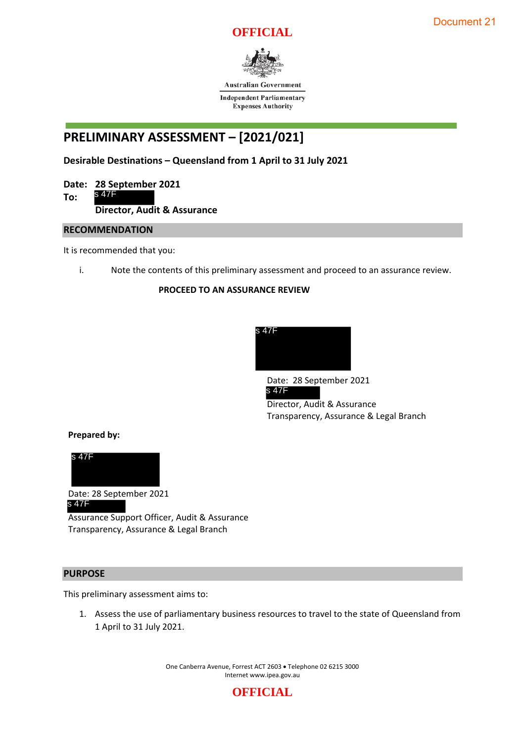## **OFFICIAL**



**Australian Government** 

**Independent Parliamentary Expenses Authority** 

# **PRELIMINARY ASSESSMENT – [2021/021]**

**Desirable Destinations – Queensland from 1 April to 31 July 2021**

- **Date: 28 September 2021**
- **To: Director, Audit & Assurance**  s 47F

### **RECOMMENDATION**

It is recommended that you:

i. Note the contents of this preliminary assessment and proceed to an assurance review.

## **PROCEED TO AN ASSURANCE REVIEW**



Date: 28 September 2021 s 47F

Director, Audit & Assurance Transparency, Assurance & Legal Branch

**Prepared by:**



s 47F

Assurance Support Officer, Audit & Assurance Transparency, Assurance & Legal Branch

### **PURPOSE**

This preliminary assessment aims to:

1. Assess the use of parliamentary business resources to travel to the state of Queensland from 1 April to 31 July 2021.

> One Canberra Avenue, Forrest ACT 2603 • Telephone 02 6215 3000 Internet www.ipea.gov.au